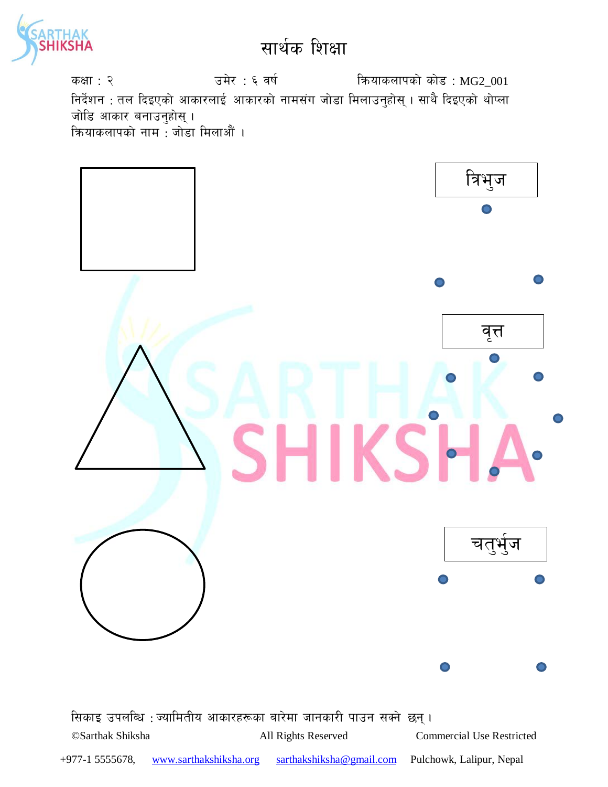

कक्षा : २  $\overline{3}$  : ६ वर्ष स्वित्रा करायकलापको कोड : MG2\_001 निर्देशन : तल दिइएको आकारलाई आकारको नामसंग जोडा मिलाउनुहोस् । साथै दिइएको थोप्ला जोडि आकार बनाउनुहोस् । कियाकलापको नाम : जोड़ा मिलाऔं ।

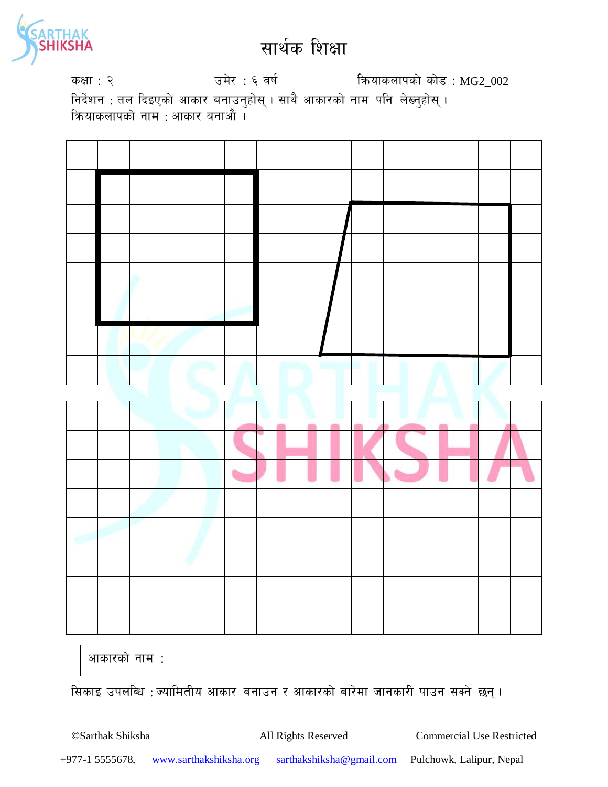

कक्षा : २  $\overline{3}$  : ६ वर्ष स्वितीय को अनेत कोड : MG2\_002

निर्देशन : तल दिइएको आकार बनाउ़नुहोस् । साथै आकारको नाम पनि लेख्नुहोस् । क्रियाकलापको नाम $\,$  : आकार बनाऔं ।



सिकाइ उपलब्धि : ज्यामितीय आकार बनाउन र आकारको बारेमा जानकारी पाउन सक्ने छन् ।

©Sarthak Shiksha All Rights Reserved Commercial Use Restricted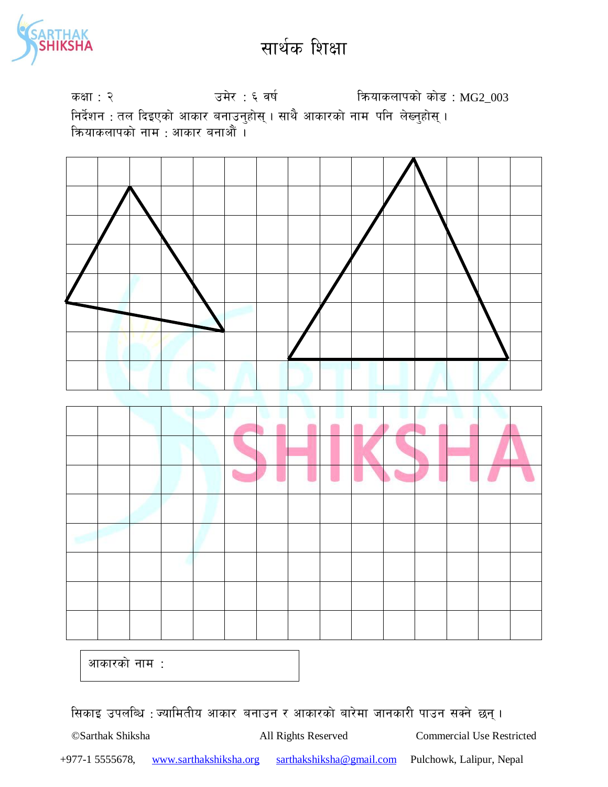

कक्षा : २  $\overline{3h}$  : ६ वर्ष स्वियाकलापको कोड : MG2\_003

निर्देशन : तल दिइएको आकार बनाउनुहोस् । साथै आकारको नाम पनि लेख्नुहोस् । क्रियाकलापको नाम $\,$  : आकार बनाऔं  $\,$  .



आकारको नाम $\,$  :

सिकाइ उपलब्धि : ज्यामितीय आकार बनाउन र आकारको बारेमा जानकारी पाउन सक्ने छन् ।

©Sarthak Shiksha All Rights Reserved Commercial Use Restricted +977-1 5555678, www.sarthakshiksha.org sarthakshiksha@gmail.com Pulchowk, Lalipur, Nepal